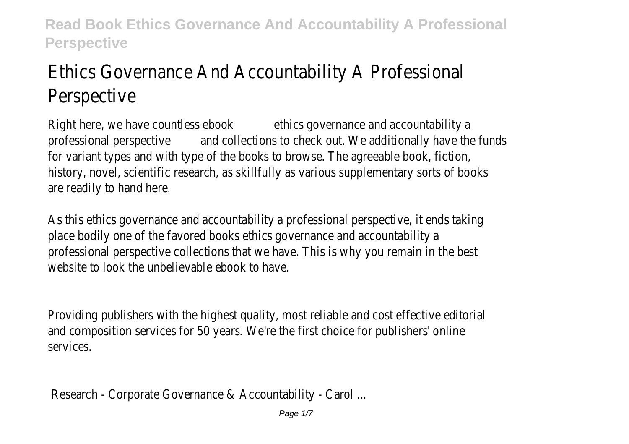# Ethics Governance And Accountability A Professional Perspective

Right here, we have countless ebookethics governance and accountability a professional perspective and collections to check out. We additionally have the funds for variant types and with type of the books to browse. The agreeable book, fiction, history, novel, scientific research, as skillfully as various supplementary sorts of books are readily to hand here.

As this ethics governance and accountability a professional perspective, it ends taking place bodily one of the favored books ethics governance and accountability a professional perspective collections that we have. This is why you remain in the best website to look the unbelievable ebook to have.

Providing publishers with the highest quality, most reliable and cost effective editorial and composition services for 50 years. We're the first choice for publishers' online services.

Research - Corporate Governance & Accountability - Carol ...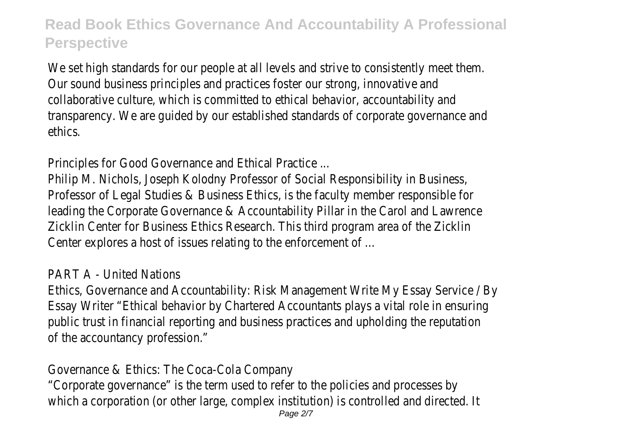We set high standards for our people at all levels and strive to consistently meet them. Our sound business principles and practices foster our strong, innovative and collaborative culture, which is committed to ethical behavior, accountability and transparency. We are guided by our established standards of corporate governance and ethics.

Principles for Good Governance and Ethical Practice ...

Philip M. Nichols, Joseph Kolodny Professor of Social Responsibility in Business, Professor of Legal Studies & Business Ethics, is the faculty member responsible for leading the Corporate Governance & Accountability Pillar in the Carol and Lawrence Zicklin Center for Business Ethics Research. This third program area of the Zicklin Center explores a host of issues relating to the enforcement of ...

#### PART A - United Nations

Ethics, Governance and Accountability: Risk Management Write My Essay Service / By Essay Writer "Ethical behavior by Chartered Accountants plays a vital role in ensuring public trust in financial reporting and business practices and upholding the reputation of the accountancy profession."

#### Governance & Ethics: The Coca-Cola Company

"Corporate governance" is the term used to refer to the policies and processes by which a corporation (or other large, complex institution) is controlled and directed. It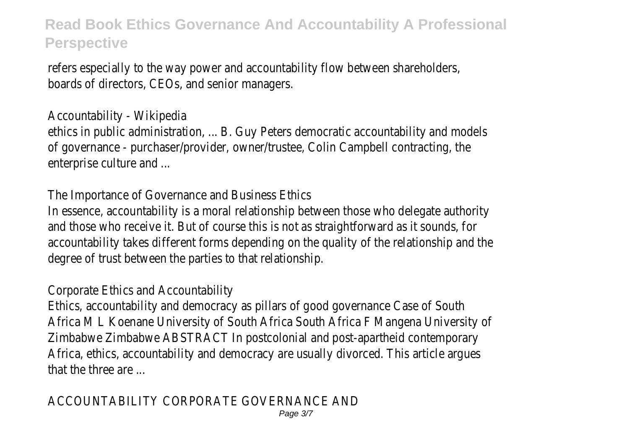refers especially to the way power and accountability flow between shareholders, boards of directors, CEOs, and senior managers.

### Accountability - Wikipedia

ethics in public administration, ... B. Guy Peters democratic accountability and models of governance - purchaser/provider, owner/trustee, Colin Campbell contracting, the enterprise culture and ...

#### The Importance of Governance and Business Ethics

In essence, accountability is a moral relationship between those who delegate authority and those who receive it. But of course this is not as straightforward as it sounds, for accountability takes different forms depending on the quality of the relationship and the degree of trust between the parties to that relationship.

### Corporate Ethics and Accountability

Ethics, accountability and democracy as pillars of good governance Case of South Africa M L Koenane University of South Africa South Africa F Mangena University of Zimbabwe Zimbabwe ABSTRACT In postcolonial and post-apartheid contemporary Africa, ethics, accountability and democracy are usually divorced. This article argues that the three are ...

# ACCOUNTABILITY CORPORATE GOVERNANCE AND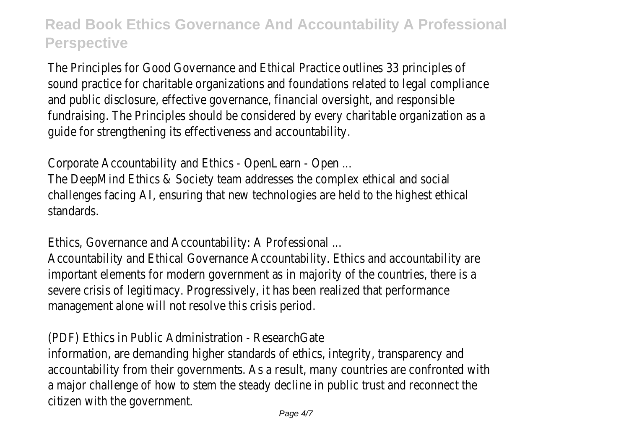The Principles for Good Governance and Ethical Practice outlines 33 principles of sound practice for charitable organizations and foundations related to legal compliance and public disclosure, effective governance, financial oversight, and responsible fundraising. The Principles should be considered by every charitable organization as a guide for strengthening its effectiveness and accountability.

Corporate Accountability and Ethics - OpenLearn - Open ...

The DeepMind Ethics & Society team addresses the complex ethical and social challenges facing AI, ensuring that new technologies are held to the highest ethical standards.

Ethics, Governance and Accountability: A Professional ...

Accountability and Ethical Governance Accountability. Ethics and accountability are important elements for modern government as in majority of the countries, there is a severe crisis of legitimacy. Progressively, it has been realized that performance management alone will not resolve this crisis period.

(PDF) Ethics in Public Administration - ResearchGate

information, are demanding higher standards of ethics, integrity, transparency and accountability from their governments. As a result, many countries are confronted with a major challenge of how to stem the steady decline in public trust and reconnect the citizen with the government.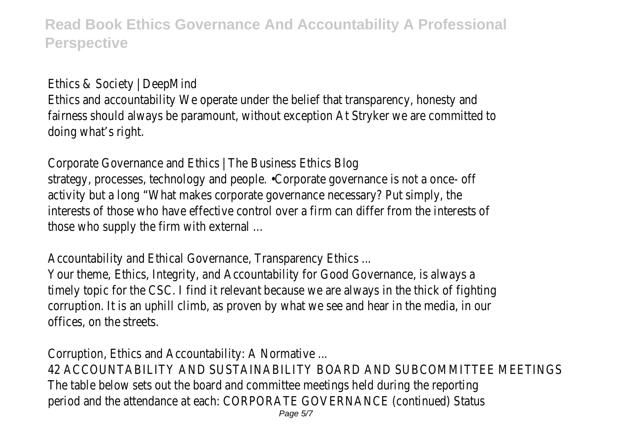Ethics & Society | DeepMind

Ethics and accountability We operate under the belief that transparency, honesty and fairness should always be paramount, without exception At Stryker we are committed to doing what's right.

Corporate Governance and Ethics | The Business Ethics Blog strategy, processes, technology and people. •Corporate governance is not a once- off activity but a long "What makes corporate governance necessary? Put simply, the interests of those who have effective control over a firm can differ from the interests of those who supply the firm with external ...

Accountability and Ethical Governance, Transparency Ethics ...

Your theme, Ethics, Integrity, and Accountability for Good Governance, is always a timely topic for the CSC. I find it relevant because we are always in the thick of fighting corruption. It is an uphill climb, as proven by what we see and hear in the media, in our offices, on the streets.

Corruption, Ethics and Accountability: A Normative ...

42 ACCOUNTABILITY AND SUSTAINABILITY BOARD AND SUBCOMMITTEE MEETINGS The table below sets out the board and committee meetings held during the reporting period and the attendance at each: CORPORATE GOVERNANCE (continued) Status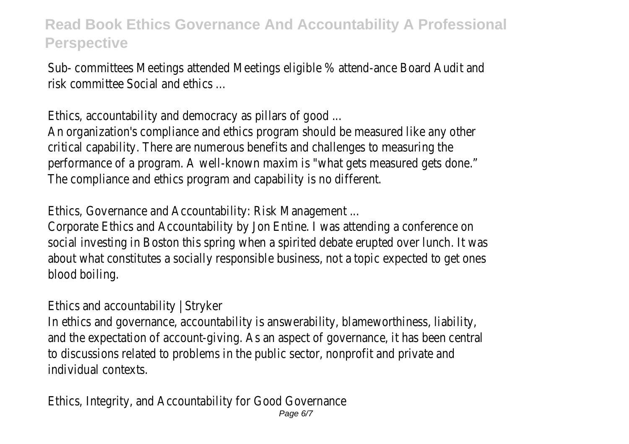Sub- committees Meetings attended Meetings eligible % attend-ance Board Audit and risk committee Social and ethics ...

Ethics, accountability and democracy as pillars of good ...

An organization's compliance and ethics program should be measured like any other critical capability. There are numerous benefits and challenges to measuring the performance of a program. A well-known maxim is "what gets measured gets done." The compliance and ethics program and capability is no different.

Ethics, Governance and Accountability: Risk Management ...

Corporate Ethics and Accountability by Jon Entine. I was attending a conference on social investing in Boston this spring when a spirited debate erupted over lunch. It was about what constitutes a socially responsible business, not a topic expected to get ones blood boiling.

Ethics and accountability | Stryker

In ethics and governance, accountability is answerability, blameworthiness, liability, and the expectation of account-giving. As an aspect of governance, it has been central to discussions related to problems in the public sector, nonprofit and private and individual contexts.

Ethics, Integrity, and Accountability for Good Governance